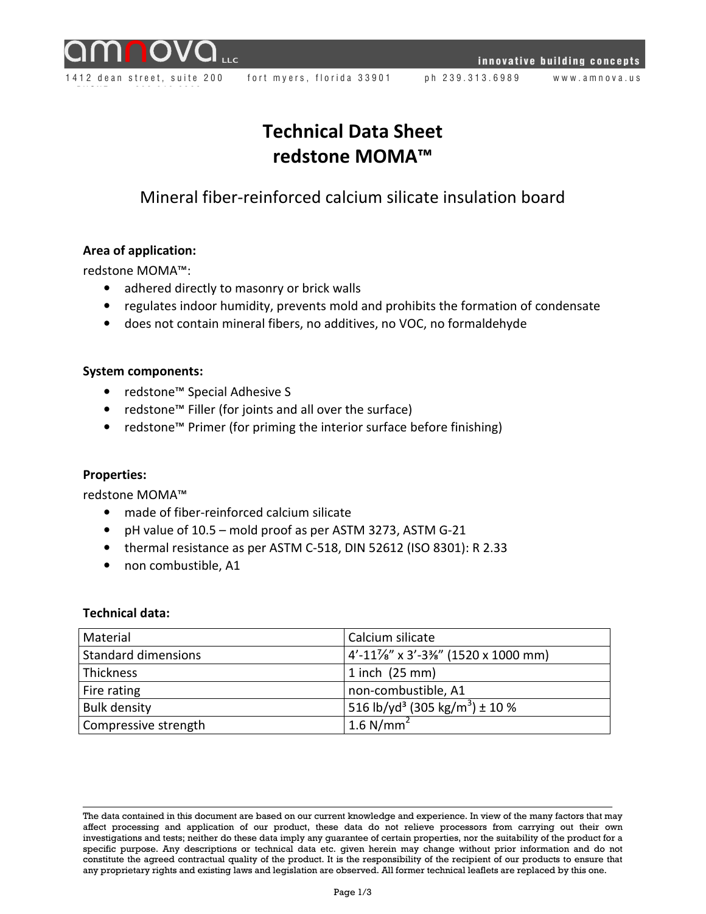



1412 dean street, suite 200 fort myers, florida 33901 ph 239.313.6989 www.amnova.us

# Technical Data Sheet redstone MOMA™

# Mineral fiber-reinforced calcium silicate insulation board

# Area of application:

redstone MOMA™:

- adhered directly to masonry or brick walls
- regulates indoor humidity, prevents mold and prohibits the formation of condensate
- does not contain mineral fibers, no additives, no VOC, no formaldehyde

#### System components:

- redstone™ Special Adhesive S
- redstone™ Filler (for joints and all over the surface)
- redstone™ Primer (for priming the interior surface before finishing)

#### Properties:

redstone MOMA™

- made of fiber-reinforced calcium silicate
- pH value of 10.5 mold proof as per ASTM 3273, ASTM G-21
- thermal resistance as per ASTM C-518, DIN 52612 (ISO 8301): R 2.33
- non combustible, A1

#### Technical data:

| Material                   | Calcium silicate                                          |
|----------------------------|-----------------------------------------------------------|
| <b>Standard dimensions</b> | $4'$ -11%" x 3'-3%" (1520 x 1000 mm)                      |
| Thickness                  | $1$ inch $(25$ mm)                                        |
| Fire rating                | non-combustible, A1                                       |
| <b>Bulk density</b>        | $1516$ lb/yd <sup>3</sup> (305 kg/m <sup>3</sup> ) ± 10 % |
| Compressive strength       | 1.6 $N/mm2$                                               |

The data contained in this document are based on our current knowledge and experience. In view of the many factors that may affect processing and application of our product, these data do not relieve processors from carrying out their own investigations and tests; neither do these data imply any guarantee of certain properties, nor the suitability of the product for a specific purpose. Any descriptions or technical data etc. given herein may change without prior information and do not constitute the agreed contractual quality of the product. It is the responsibility of the recipient of our products to ensure that any proprietary rights and existing laws and legislation are observed. All former technical leaflets are replaced by this one.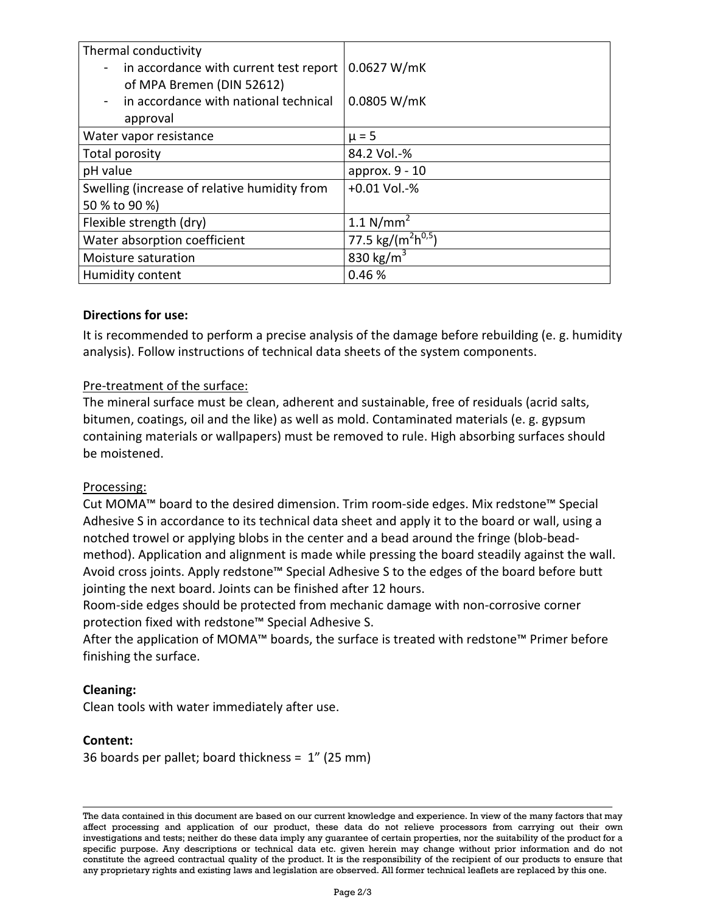| Thermal conductivity<br>in accordance with current test report<br>of MPA Bremen (DIN 52612) | 0.0627 W/mK                                |
|---------------------------------------------------------------------------------------------|--------------------------------------------|
| in accordance with national technical<br>approval                                           | 0.0805 W/mK                                |
| Water vapor resistance                                                                      | $\mu = 5$                                  |
| Total porosity                                                                              | 84.2 Vol.-%                                |
| pH value                                                                                    | approx. 9 - 10                             |
| Swelling (increase of relative humidity from                                                | $+0.01$ Vol.-%                             |
| 50 % to 90 %)                                                                               |                                            |
| Flexible strength (dry)                                                                     | 1.1 $N/mm^2$                               |
| Water absorption coefficient                                                                | 77.5 kg/(m <sup>2</sup> h <sup>0,5</sup> ) |
| Moisture saturation                                                                         | 830 kg/m <sup>3</sup>                      |
| Humidity content                                                                            | 0.46%                                      |

# Directions for use:

It is recommended to perform a precise analysis of the damage before rebuilding (e. g. humidity analysis). Follow instructions of technical data sheets of the system components.

#### Pre-treatment of the surface:

The mineral surface must be clean, adherent and sustainable, free of residuals (acrid salts, bitumen, coatings, oil and the like) as well as mold. Contaminated materials (e. g. gypsum containing materials or wallpapers) must be removed to rule. High absorbing surfaces should be moistened.

#### Processing:

Cut MOMA™ board to the desired dimension. Trim room-side edges. Mix redstone™ Special Adhesive S in accordance to its technical data sheet and apply it to the board or wall, using a notched trowel or applying blobs in the center and a bead around the fringe (blob-beadmethod). Application and alignment is made while pressing the board steadily against the wall. Avoid cross joints. Apply redstone™ Special Adhesive S to the edges of the board before butt jointing the next board. Joints can be finished after 12 hours.

Room-side edges should be protected from mechanic damage with non-corrosive corner protection fixed with redstone™ Special Adhesive S.

After the application of MOMA™ boards, the surface is treated with redstone™ Primer before finishing the surface.

#### Cleaning:

Clean tools with water immediately after use.

#### Content:

36 boards per pallet; board thickness = 1" (25 mm)

The data contained in this document are based on our current knowledge and experience. In view of the many factors that may affect processing and application of our product, these data do not relieve processors from carrying out their own investigations and tests; neither do these data imply any guarantee of certain properties, nor the suitability of the product for a specific purpose. Any descriptions or technical data etc. given herein may change without prior information and do not constitute the agreed contractual quality of the product. It is the responsibility of the recipient of our products to ensure that any proprietary rights and existing laws and legislation are observed. All former technical leaflets are replaced by this one.